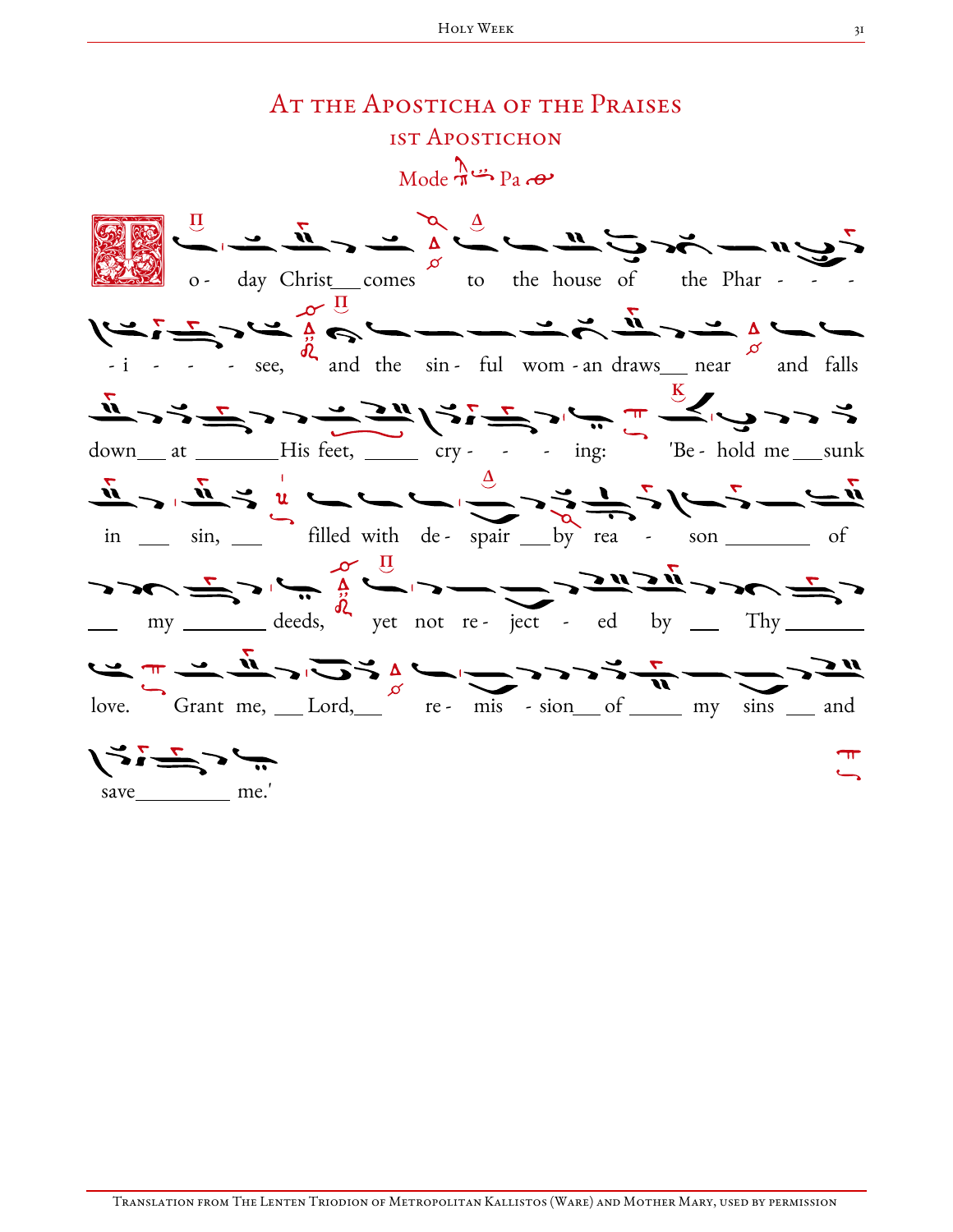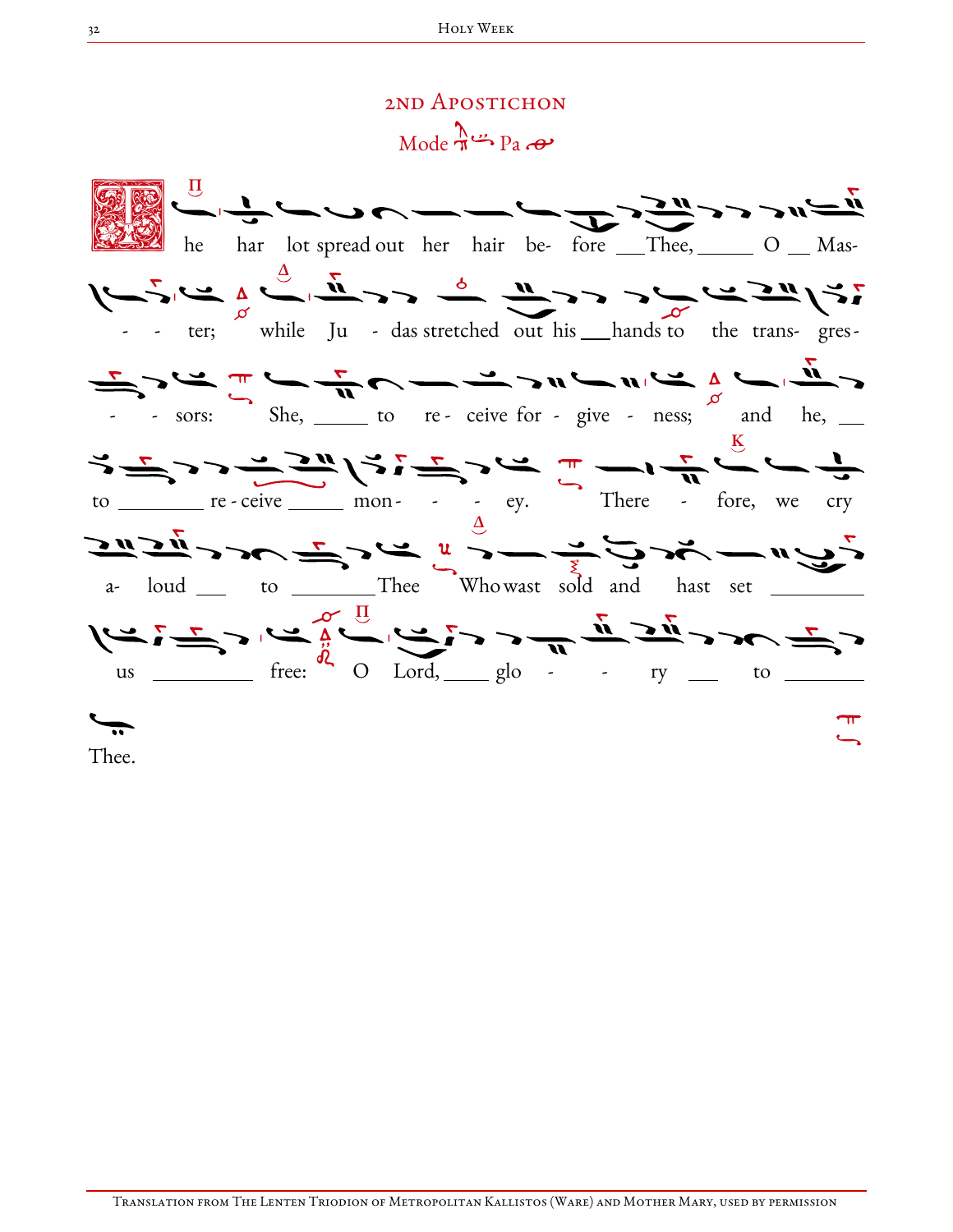## 2ND APOSTICHON  $Mode \rightarrow Pa$

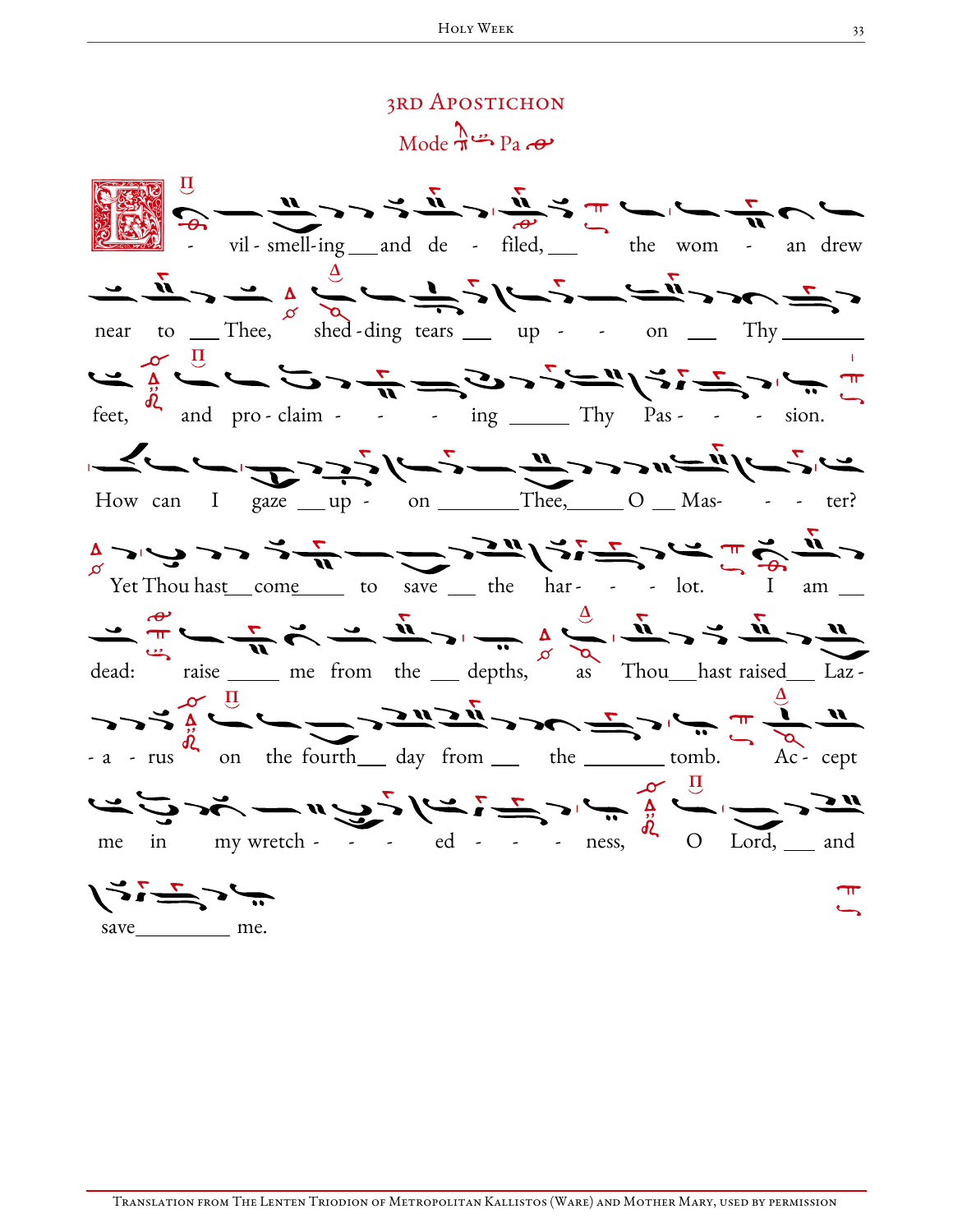## 3rd Apostichon  $Mode \rightarrow Pa$ E S Π vil - smell-ing and de - filed, he wom - an drew <u>ے لگے ، طریقے کے ترک کے ترک کے بات کے بعد کے ت</u> near to Thee, shed - ding tears up - - on Thy سے میں اس کے ساتھ ہے کہ میں تھے کہ اس سے میں اس سے میں ہیں ہے<br>سے میں اس کے ساتھ کے ساتھ کے میں اس کے باہر میں اس کے لیے کہ اس کے لیے کہ اس کے لیے کہ اس کے لیے کہ اس کے لیے feet, and pro-claim - - - ing  $\frac{m}{m}$  Thy Pas - - - sion. How can I gaze  $\_\$ up - on  $\_\_$ Thee,  $\_\_$ O  $\_\$ Mas- - - ter?  $\frac{1}{\alpha}$   $\sqrt{2}$   $\sqrt{3}$   $\sqrt{2}$   $\sqrt{3}$   $\sqrt{4}$   $\sqrt{5}$   $\sqrt{2}$   $\sqrt{5}$   $\sqrt{2}$   $\sqrt{5}$   $\sqrt{6}$   $\sqrt{1}$   $\sqrt{6}$   $\sqrt{1}$   $\sqrt{2}$   $\sqrt{1}$   $\sqrt{2}$   $\sqrt{1}$   $\sqrt{2}$   $\sqrt{1}$   $\sqrt{2}$   $\sqrt{1}$   $\sqrt{2}$   $\sqrt{1}$   $\sqrt{2}$   $\sqrt{1}$   $\$ Δ dead: raise <u>each me from the depths,</u> as Thou\_\_\_hast raised\_\_\_ Laz -Δ Π  $- a - rus$  on the fourth\_\_ day from \_\_ the \_\_\_\_\_\_ tomb.  $Ac$  cept Π me in my wretch - - - ed - - - ness,  $Lord, \underline{\hspace{1cm}}$  and ディデュー save me.